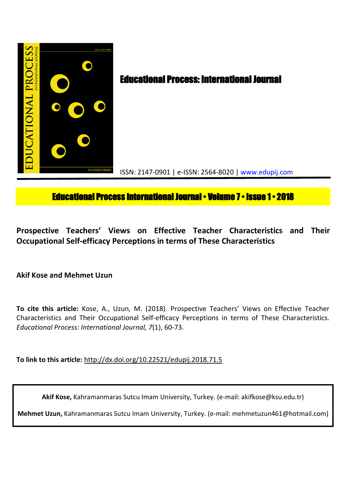

# **Educational Process International Journal • Volume 7 • Issue 1 • 2018**

**Prospective Teachers' Views on Effective Teacher Characteristics and Their Occupational Self-efficacy Perceptions in terms of These Characteristics**

**Akif Kose and Mehmet Uzun**

**To cite this article:** Kose, A., Uzun, M. (2018). Prospective Teachers' Views on Effective Teacher Characteristics and Their Occupational Self-efficacy Perceptions in terms of These Characteristics. *Educational Process: International Journal, 7*(1), 60-73.

**To link to this article:** http://dx.doi.org/10.22521/edupij.2018.71.5

**Akif Kose,** Kahramanmaras Sutcu Imam University, Turkey. (e-mail: akifkose@ksu.edu.tr)

**Mehmet Uzun,** Kahramanmaras Sutcu Imam University, Turkey. (e-mail: mehmetuzun461@hotmail.com)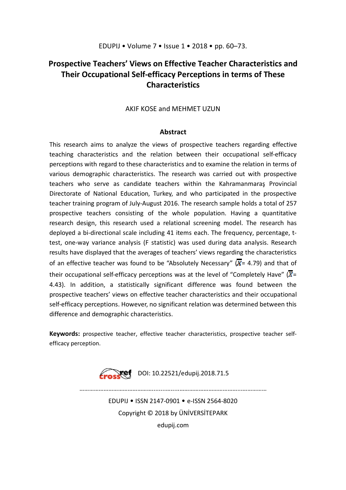# **Prospective Teachers' Views on Effective Teacher Characteristics and Their Occupational Self-efficacy Perceptions in terms of These Characteristics**

AKIF KOSE and MEHMET UZUN

## **Abstract**

This research aims to analyze the views of prospective teachers regarding effective teaching characteristics and the relation between their occupational self-efficacy perceptions with regard to these characteristics and to examine the relation in terms of various demographic characteristics. The research was carried out with prospective teachers who serve as candidate teachers within the Kahramanmaraş Provincial Directorate of National Education, Turkey, and who participated in the prospective teacher training program of July-August 2016. The research sample holds a total of 257 prospective teachers consisting of the whole population. Having a quantitative research design, this research used a relational screening model. The research has deployed a bi-directional scale including 41 items each. The frequency, percentage, ttest, one-way variance analysis (F statistic) was used during data analysis. Research results have displayed that the averages of teachers' views regarding the characteristics of an effective teacher was found to be "Absolutely Necessary"  $(\overline{X} = 4.79)$  and that of their occupational self-efficacy perceptions was at the level of "Completely Have"  $(\overline{X}$ = 4.43). In addition, a statistically significant difference was found between the prospective teachers' views on effective teacher characteristics and their occupational self-efficacy perceptions. However, no significant relation was determined between this difference and demographic characteristics.

**Keywords:** prospective teacher, effective teacher characteristics, prospective teacher selfefficacy perception.



EDUPIJ • ISSN 2147-0901 • e-ISSN 2564-8020 Copyright © 2018 by ÜNİVERSİTEPARK

 $\mathcal{L}^{(n)}$ 

edupij.com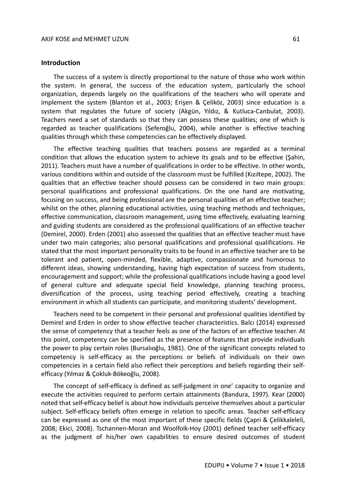#### **Introduction**

The success of a system is directly proportional to the nature of those who work within the system. In general, the success of the education system, particularly the school organization, depends largely on the qualifications of the teachers who will operate and implement the system (Blanton et al., 2003; Erişen & Çeliköz, 2003) since education is a system that regulates the future of society (Akgün, Yıldız, & Kutluca-Canbulat, 2003). Teachers need a set of standards so that they can possess these qualities; one of which is regarded as teacher qualifications (Seferoğlu, 2004), while another is effective teaching qualities through which these competencies can be effectively displayed.

The effective teaching qualities that teachers possess are regarded as a terminal condition that allows the education system to achieve its goals and to be effective (Şahin, 2011). Teachers must have a number of qualifications in order to be effective. In other words, various conditions within and outside of the classroom must be fulfilled (Kızıltepe, 2002). The qualities that an effective teacher should possess can be considered in two main groups: personal qualifications and professional qualifications. On the one hand are motivating, focusing on success, and being professional are the personal qualities of an effective teacher; whilst on the other, planning educational activities, using teaching methods and techniques, effective communication, classroom management, using time effectively, evaluating learning and guiding students are considered as the professional qualifications of an effective teacher (Demirel, 2000). Erden (2001) also assessed the qualities that an effective teacher must have under two main categories; also personal qualifications and professional qualifications. He stated that the most important personality traits to be found in an effective teacher are to be tolerant and patient, open-minded, flexible, adaptive, compassionate and humorous to different ideas, showing understanding, having high expectation of success from students, encouragement and support; while the professional qualifications include having a good level of general culture and adequate special field knowledge, planning teaching process, diversification of the process, using teaching period effectively, creating a teaching environment in which all students can participate, and monitoring students' development.

Teachers need to be competent in their personal and professional qualities identified by Demirel and Erden in order to show effective teacher characteristics. Balcı (2014) expressed the sense of competency that a teacher feels as one of the factors of an effective teacher. At this point, competency can be specified as the presence of features that provide individuals the power to play certain roles (Bursalıoğlu, 1981). One of the significant concepts related to competency is self-efficacy as the perceptions or beliefs of individuals on their own competencies in a certain field also reflect their perceptions and beliefs regarding their selfefficacy (Yılmaz & Çokluk-Bökeoğlu, 2008).

The concept of self-efficacy is defined as self-judgment in one' capacity to organize and execute the activities required to perform certain attainments (Bandura, 1997). Kear (2000) noted that self-efficacy belief is about how individuals perceive themselves about a particular subject. Self-efficacy beliefs often emerge in relation to specific areas. Teacher self-efficacy can be expressed as one of the most important of these specific fields (Çapri & Çelikkaleleli, 2008; Ekici, 2008). Tschannen-Moran and Woolfolk-Hoy (2001) defined teacher self-efficacy as the judgment of his/her own capabilities to ensure desired outcomes of student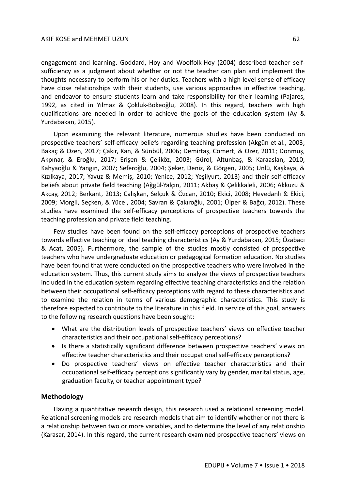#### AKIF KOSE and MEHMET UZUN 62

engagement and learning. Goddard, Hoy and Woolfolk-Hoy (2004) described teacher selfsufficiency as a judgment about whether or not the teacher can plan and implement the thoughts necessary to perform his or her duties. Teachers with a high level sense of efficacy have close relationships with their students, use various approaches in effective teaching, and endeavor to ensure students learn and take responsibility for their learning (Pajares, 1992, as cited in Yılmaz & Çokluk-Bökeoğlu, 2008). In this regard, teachers with high qualifications are needed in order to achieve the goals of the education system (Ay & Yurdabakan, 2015).

Upon examining the relevant literature, numerous studies have been conducted on prospective teachers' self-efficacy beliefs regarding teaching profession (Akgün et al., 2003; Bakaç & Özen, 2017; Çakır, Kan, & Sünbül, 2006; Demirtaş, Cömert, & Özer, 2011; Donmuş, Akpınar, & Eroğlu, 2017; Erişen & Çeliköz, 2003; Gürol, Altunbaş, & Karaaslan, 2010; Kahyaoğlu & Yangın, 2007; Seferoğlu, 2004; Şeker, Deniz, & Görgen, 2005; Ünlü, Kaşkaya, & Kızılkaya, 2017; Yavuz & Memiş, 2010; Yenice, 2012; Yeşilyurt, 2013) and their self-efficacy beliefs about private field teaching (Ağgül-Yalçın, 2011; Akbaş & Çelikkaleli, 2006; Akkuzu & Akçay, 2012; Berkant, 2013; Çalışkan, Selçuk & Özcan, 2010; Ekici, 2008; Hevedanlı & Ekici, 2009; Morgil, Seçken, & Yücel, 2004; Savran & Çakıroğlu, 2001; Ülper & Bağcı, 2012). These studies have examined the self-efficacy perceptions of prospective teachers towards the teaching profession and private field teaching.

Few studies have been found on the self-efficacy perceptions of prospective teachers towards effective teaching or ideal teaching characteristics (Ay & Yurdabakan, 2015; Özabacı & Acat, 2005). Furthermore, the sample of the studies mostly consisted of prospective teachers who have undergraduate education or pedagogical formation education. No studies have been found that were conducted on the prospective teachers who were involved in the education system. Thus, this current study aims to analyze the views of prospective teachers included in the education system regarding effective teaching characteristics and the relation between their occupational self-efficacy perceptions with regard to these characteristics and to examine the relation in terms of various demographic characteristics. This study is therefore expected to contribute to the literature in this field. In service of this goal, answers to the following research questions have been sought:

- What are the distribution levels of prospective teachers' views on effective teacher characteristics and their occupational self-efficacy perceptions?
- Is there a statistically significant difference between prospective teachers' views on effective teacher characteristics and their occupational self-efficacy perceptions?
- Do prospective teachers' views on effective teacher characteristics and their occupational self-efficacy perceptions significantly vary by gender, marital status, age, graduation faculty, or teacher appointment type?

#### **Methodology**

Having a quantitative research design, this research used a relational screening model. Relational screening models are research models that aim to identify whether or not there is a relationship between two or more variables, and to determine the level of any relationship (Karasar, 2014). In this regard, the current research examined prospective teachers' views on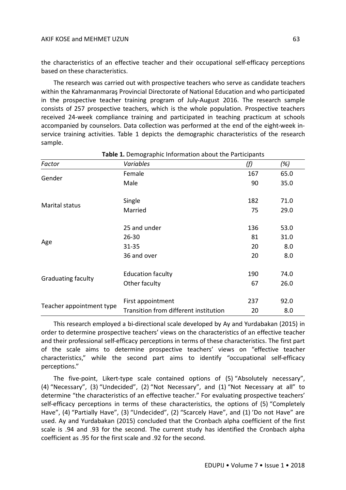the characteristics of an effective teacher and their occupational self-efficacy perceptions based on these characteristics.

The research was carried out with prospective teachers who serve as candidate teachers within the Kahramanmaraş Provincial Directorate of National Education and who participated in the prospective teacher training program of July-August 2016. The research sample consists of 257 prospective teachers, which is the whole population. Prospective teachers received 24-week compliance training and participated in teaching practicum at schools accompanied by counselors. Data collection was performed at the end of the eight-week inservice training activities. Table 1 depicts the demographic characteristics of the research sample.

| Factor                                              | Variables                             | (f) | (%)  |
|-----------------------------------------------------|---------------------------------------|-----|------|
| Gender                                              | Female                                | 167 | 65.0 |
|                                                     | Male                                  | 90  | 35.0 |
| Single<br>Marital status<br>Married<br>25 and under |                                       | 182 | 71.0 |
|                                                     |                                       | 75  | 29.0 |
|                                                     |                                       | 136 | 53.0 |
|                                                     | $26 - 30$                             | 81  | 31.0 |
| Age                                                 | $31 - 35$                             | 20  | 8.0  |
|                                                     | 36 and over                           | 20  | 8.0  |
|                                                     | <b>Education faculty</b>              | 190 | 74.0 |
| <b>Graduating faculty</b>                           | Other faculty                         | 67  | 26.0 |
|                                                     | First appointment                     | 237 | 92.0 |
| Teacher appointment type                            | Transition from different institution | 20  | 8.0  |

#### **Table 1.** Demographic Information about the Participants

This research employed a bi-directional scale developed by Ay and Yurdabakan (2015) in order to determine prospective teachers' views on the characteristics of an effective teacher and their professional self-efficacy perceptions in terms of these characteristics. The first part of the scale aims to determine prospective teachers' views on "effective teacher characteristics," while the second part aims to identify "occupational self-efficacy perceptions."

The five-point, Likert-type scale contained options of (5) "Absolutely necessary", (4) "Necessary", (3) "Undecided", (2) "Not Necessary", and (1) "Not Necessary at all" to determine "the characteristics of an effective teacher." For evaluating prospective teachers' self-efficacy perceptions in terms of these characteristics, the options of (5) "Completely Have", (4) "Partially Have", (3) "Undecided", (2) "Scarcely Have", and (1) 'Do not Have" are used. Ay and Yurdabakan (2015) concluded that the Cronbach alpha coefficient of the first scale is .94 and .93 for the second. The current study has identified the Cronbach alpha coefficient as .95 for the first scale and .92 for the second.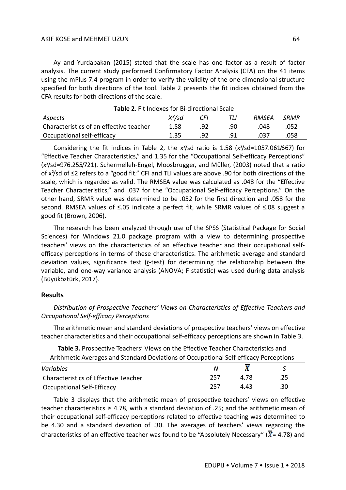### AKIF KOSE and MEHMET UZUN 64

Ay and Yurdabakan (2015) stated that the scale has one factor as a result of factor analysis. The current study performed Confirmatory Factor Analysis (CFA) on the 41 items using the mPlus 7.4 program in order to verify the validity of the one-dimensional structure specified for both directions of the tool. Table 2 presents the fit indices obtained from the CFA results for both directions of the scale.

| <b>Table 2.</b> Fit indexes for Bi-directional Scale |           |     |     |       |      |  |  |  |  |
|------------------------------------------------------|-----------|-----|-----|-------|------|--|--|--|--|
| Aspects                                              | $X^2$ /sd | CFI |     | RMSEA | SRMR |  |  |  |  |
| Characteristics of an effective teacher              | 1.58      | .92 | .90 | .048  | .052 |  |  |  |  |
| Occupational self-efficacy                           | 1.35      | .92 | .91 | .037  | .058 |  |  |  |  |

**Table 2.** Fit Indexes for Bi-directional Scale

Considering the fit indices in Table 2, the  $x^2$ /sd ratio is 1.58 ( $x^2$ /sd=1057.061/667) for "Effective Teacher Characteristics," and 1.35 for the "Occupational Self-efficacy Perceptions" (x²/sd=976.255/721). Schermelleh-Engel, Moosbrugger, and Müller, (2003) noted that a ratio of x²/sd of ≤2 refers to a "good fit." CFI and TLI values are above .90 for both directions of the scale, which is regarded as valid. The RMSEA value was calculated as .048 for the "Effective Teacher Characteristics," and .037 for the "Occupational Self-efficacy Perceptions." On the other hand, SRMR value was determined to be .052 for the first direction and .058 for the second. RMSEA values of ≤.05 indicate a perfect fit, while SRMR values of ≤.08 suggest a good fit (Brown, 2006).

The research has been analyzed through use of the SPSS (Statistical Package for Social Sciences) for Windows 21.0 package program with a view to determining prospective teachers' views on the characteristics of an effective teacher and their occupational selfefficacy perceptions in terms of these characteristics. The arithmetic average and standard deviation values, significance test (*t*-test) for determining the relationship between the variable, and one-way variance analysis (ANOVA; F statistic) was used during data analysis (Büyüköztürk, 2017).

### **Results**

*Distribution of Prospective Teachers' Views on Characteristics of Effective Teachers and Occupational Self-efficacy Perceptions*

The arithmetic mean and standard deviations of prospective teachers' views on effective teacher characteristics and their occupational self-efficacy perceptions are shown in Table 3.

**Table 3.** Prospective Teachers' Views on the Effective Teacher Characteristics and Arithmetic Averages and Standard Deviations of Occupational Self-efficacy Perceptions

| Variables                            |      |      |     |
|--------------------------------------|------|------|-----|
| Characteristics of Effective Teacher | -257 | 4 78 |     |
| <b>Occupational Self-Efficacy</b>    | 257  | 4 43 | .30 |

Table 3 displays that the arithmetic mean of prospective teachers' views on effective teacher characteristics is 4.78, with a standard deviation of .25; and the arithmetic mean of their occupational self-efficacy perceptions related to effective teaching was determined to be 4.30 and a standard deviation of .30. The averages of teachers' views regarding the characteristics of an effective teacher was found to be "Absolutely Necessary" ( $\overline{X}$ = 4.78) and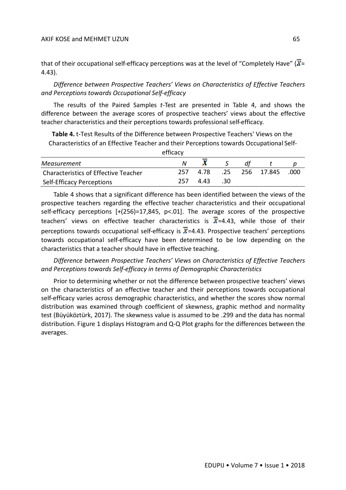### AKIF KOSE and MEHMET UZUN 65

that of their occupational self-efficacy perceptions was at the level of "Completely Have" ( $\overline{X}$ = 4.43).

*Difference between Prospective Teachers' Views on Characteristics of Effective Teachers and Perceptions towards Occupational Self-efficacy*

The results of the Paired Samples *t*-Test are presented in Table 4, and shows the difference between the average scores of prospective teachers' views about the effective teacher characteristics and their perceptions towards professional self-efficacy.

**Table 4.** t-Test Results of the Difference between Prospective Teachers' Views on the Characteristics of an Effective Teacher and their Perceptions towards Occupational Self-

| efficacy                                    |     |      |     |  |            |      |  |  |
|---------------------------------------------|-----|------|-----|--|------------|------|--|--|
| Measurement                                 |     |      |     |  |            |      |  |  |
| <b>Characteristics of Effective Teacher</b> | 257 | 4.78 | .25 |  | 256 17.845 | .000 |  |  |
| Self-Efficacy Perceptions                   | 257 | 4.43 | .30 |  |            |      |  |  |

Table 4 shows that a significant difference has been identified between the views of the prospective teachers regarding the effective teacher characteristics and their occupational self-efficacy perceptions [+(256)=17,845, p<.01]. The average scores of the prospective teachers' views on effective teacher characteristics is  $\overline{X}$ =4.43, while those of their perceptions towards occupational self-efficacy is  $\overline{X}$ =4.43. Prospective teachers' perceptions towards occupational self-efficacy have been determined to be low depending on the characteristics that a teacher should have in effective teaching.

*Difference between Prospective Teachers' Views on Characteristics of Effective Teachers and Perceptions towards Self-efficacy in terms of Demographic Characteristics*

Prior to determining whether or not the difference between prospective teachers' views on the characteristics of an effective teacher and their perceptions towards occupational self-efficacy varies across demographic characteristics, and whether the scores show normal distribution was examined through coefficient of skewness, graphic method and normality test (Büyüköztürk, 2017). The skewness value is assumed to be .299 and the data has normal distribution. Figure 1 displays Histogram and Q-Q Plot graphs for the differences between the averages.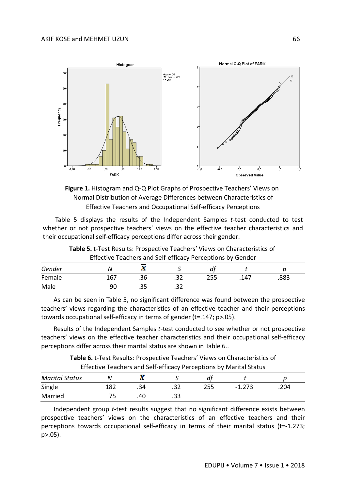



Table 5 displays the results of the Independent Samples *t*-test conducted to test whether or not prospective teachers' views on the effective teacher characteristics and their occupational self-efficacy perceptions differ across their gender.

| Lifective Teachers and Sen-emicacy Ferceptions by Genuer |     |     |      |     |      |      |  |  |
|----------------------------------------------------------|-----|-----|------|-----|------|------|--|--|
| Gender                                                   |     |     |      |     |      |      |  |  |
| Female                                                   | 167 | .36 |      | 255 | .147 | .883 |  |  |
| Male                                                     | 90  |     | ے ر. |     |      |      |  |  |

**Table 5.** t-Test Results: Prospective Teachers' Views on Characteristics of Effective Teachers and Self-efficacy Perceptions by Gender

As can be seen in Table 5, no significant difference was found between the prospective teachers' views regarding the characteristics of an effective teacher and their perceptions towards occupational self-efficacy in terms of gender (t=.147; p>.05).

Results of the Independent Samples *t*-test conducted to see whether or not prospective teachers' views on the effective teacher characteristics and their occupational self-efficacy perceptions differ across their marital status are shown in Table 6..

> **Table 6.** t-Test Results: Prospective Teachers' Views on Characteristics of Effective Teachers and Self-efficacy Perceptions by Marital Status

| <b>Marital Status</b> |     | NG.<br>43 |      |     |          |      |
|-----------------------|-----|-----------|------|-----|----------|------|
| Single                | 182 | .34       | ے ر. | 255 | $-1.273$ | .204 |
| Married               |     | .40       | دد.  |     |          |      |

Independent group *t*-test results suggest that no significant difference exists between prospective teachers' views on the characteristics of an effective teachers and their perceptions towards occupational self-efficacy in terms of their marital status (t=-1.273; p>.05).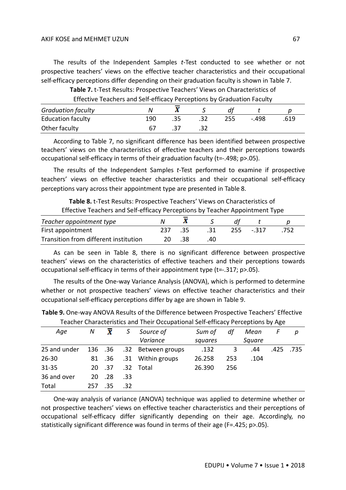The results of the Independent Samples *t*-Test conducted to see whether or not prospective teachers' views on the effective teacher characteristics and their occupational self-efficacy perceptions differ depending on their graduation faculty is shown in Table 7.

> **Table 7.** t-Test Results: Prospective Teachers' Views on Characteristics of Effective Teachers and Self-efficacy Perceptions by Graduation Faculty

| <b>Graduation faculty</b> |     |     |     |       |      |
|---------------------------|-----|-----|-----|-------|------|
| <b>Education faculty</b>  | 190 | .35 | 255 | - 498 | .619 |
| Other faculty             |     | 27  |     |       |      |

According to Table 7, no significant difference has been identified between prospective teachers' views on the characteristics of effective teachers and their perceptions towards occupational self-efficacy in terms of their graduation faculty (t=-.498; p>.05).

The results of the Independent Samples *t*-Test performed to examine if prospective teachers' views on effective teacher characteristics and their occupational self-efficacy perceptions vary across their appointment type are presented in Table 8.

**Table 8.** t-Test Results: Prospective Teachers' Views on Characteristics of Effective Teachers and Self-efficacy Perceptions by Teacher Appointment Type

| Teacher appointment type              |     |      |     |        |  |
|---------------------------------------|-----|------|-----|--------|--|
| First appointment                     | .35 | - 31 | 255 | $-317$ |  |
| Transition from different institution | -38 |      |     |        |  |

As can be seen in Table 8, there is no significant difference between prospective teachers' views on the characteristics of effective teachers and their perceptions towards occupational self-efficacy in terms of their appointment type (t=-.317; p>.05).

The results of the One-way Variance Analysis (ANOVA), which is performed to determine whether or not prospective teachers' views on effective teacher characteristics and their occupational self-efficacy perceptions differ by age are shown in Table 9.

|              | Teacher Characteristics and Their Occupational Sen-emicacy Perceptions by Age |                         |     |                    |         |     |        |      |      |
|--------------|-------------------------------------------------------------------------------|-------------------------|-----|--------------------|---------|-----|--------|------|------|
| Age          | N                                                                             | $\overline{\mathbf{x}}$ |     | Source of          | Sum of  | df  | Mean   |      | р    |
|              |                                                                               |                         |     | Variance           | squares |     | Square |      |      |
| 25 and under | 136 .36                                                                       |                         |     | .32 Between groups | .132    | 3   | .44    | .425 | .735 |
| $26 - 30$    |                                                                               | 81 .36                  |     | .31 Within groups  | 26.258  | 253 | .104   |      |      |
| $31 - 35$    | 20                                                                            | .37                     | .32 | Total              | 26.390  | 256 |        |      |      |
| 36 and over  | 20                                                                            | .28                     | .33 |                    |         |     |        |      |      |
| Total        | 257                                                                           | .35                     | .32 |                    |         |     |        |      |      |

**Table 9.** One-way ANOVA Results of the Difference between Prospective Teachers' Effective Teacher Characteristics and Their Occupational Self-efficacy Perceptions by Age

One-way analysis of variance (ANOVA) technique was applied to determine whether or not prospective teachers' views on effective teacher characteristics and their perceptions of occupational self-efficacy differ significantly depending on their age. Accordingly, no statistically significant difference was found in terms of their age (F=.425; p>.05).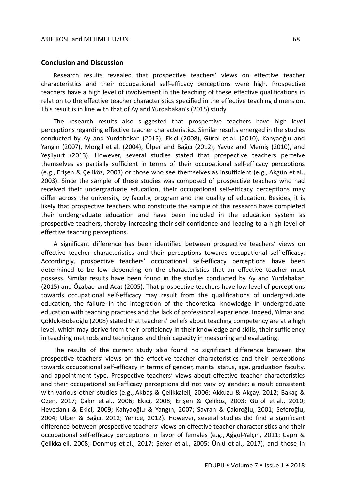#### **Conclusion and Discussion**

Research results revealed that prospective teachers' views on effective teacher characteristics and their occupational self-efficacy perceptions were high. Prospective teachers have a high level of involvement in the teaching of these effective qualifications in relation to the effective teacher characteristics specified in the effective teaching dimension. This result is in line with that of Ay and Yurdabakan's (2015) study.

The research results also suggested that prospective teachers have high level perceptions regarding effective teacher characteristics. Similar results emerged in the studies conducted by Ay and Yurdabakan (2015), Ekici (2008), Gürol et al. (2010), Kahyaoğlu and Yangın (2007), Morgil et al. (2004), Ülper and Bağcı (2012), Yavuz and Memiş (2010), and Yeşilyurt (2013). However, several studies stated that prospective teachers perceive themselves as partially sufficient in terms of their occupational self-efficacy perceptions (e.g., Erişen & Çeliköz, 2003) or those who see themselves as insufficient (e.g., Akgün et al., 2003). Since the sample of these studies was composed of prospective teachers who had received their undergraduate education, their occupational self-efficacy perceptions may differ across the university, by faculty, program and the quality of education. Besides, it is likely that prospective teachers who constitute the sample of this research have completed their undergraduate education and have been included in the education system as prospective teachers, thereby increasing their self-confidence and leading to a high level of effective teaching perceptions.

A significant difference has been identified between prospective teachers' views on effective teacher characteristics and their perceptions towards occupational self-efficacy. Accordingly, prospective teachers' occupational self-efficacy perceptions have been determined to be low depending on the characteristics that an effective teacher must possess. Similar results have been found in the studies conducted by Ay and Yurdabakan (2015) and Özabacı and Acat (2005). That prospective teachers have low level of perceptions towards occupational self-efficacy may result from the qualifications of undergraduate education, the failure in the integration of the theoretical knowledge in undergraduate education with teaching practices and the lack of professional experience. Indeed, Yılmaz and Çokluk-Bökeoğlu (2008) stated that teachers' beliefs about teaching competency are at a high level, which may derive from their proficiency in their knowledge and skills, their sufficiency in teaching methods and techniques and their capacity in measuring and evaluating.

The results of the current study also found no significant difference between the prospective teachers' views on the effective teacher characteristics and their perceptions towards occupational self-efficacy in terms of gender, marital status, age, graduation faculty, and appointment type. Prospective teachers' views about effective teacher characteristics and their occupational self-efficacy perceptions did not vary by gender; a result consistent with various other studies (e.g., Akbaş & Çelikkaleli, 2006; Akkuzu & Akçay, 2012; Bakaç & Özen, 2017; Çakır et al., 2006; Ekici, 2008; Erişen & Çeliköz, 2003; Gürol et al., 2010; Hevedanlı & Ekici, 2009; Kahyaoğlu & Yangın, 2007; Savran & Çakıroğlu, 2001; Seferoğlu, 2004; Ülper & Bağcı, 2012; Yenice, 2012). However, several studies did find a significant difference between prospective teachers' views on effective teacher characteristics and their occupational self-efficacy perceptions in favor of females (e.g., Ağgül-Yalçın, 2011; Çapri & Çelikkaleli, 2008; Donmuş et al., 2017; Şeker et al., 2005; Ünlü et al., 2017), and those in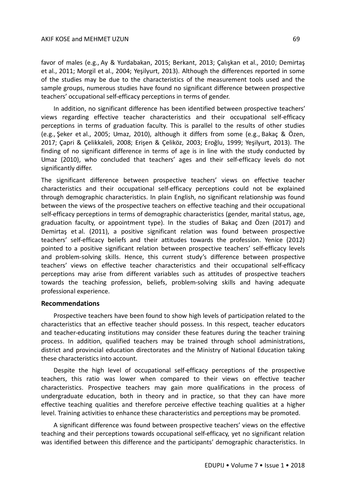favor of males (e.g., Ay & Yurdabakan, 2015; Berkant, 2013; Çalışkan et al., 2010; Demirtaş et al., 2011; Morgil et al., 2004; Yeşilyurt, 2013). Although the differences reported in some of the studies may be due to the characteristics of the measurement tools used and the sample groups, numerous studies have found no significant difference between prospective teachers' occupational self-efficacy perceptions in terms of gender.

In addition, no significant difference has been identified between prospective teachers' views regarding effective teacher characteristics and their occupational self-efficacy perceptions in terms of graduation faculty. This is parallel to the results of other studies (e.g., Şeker et al., 2005; Umaz, 2010), although it differs from some (e.g., Bakaç & Özen, 2017; Çapri & Çelikkaleli, 2008; Erişen & Çeliköz, 2003; Eroğlu, 1999; Yeşilyurt, 2013). The finding of no significant difference in terms of age is in line with the study conducted by Umaz (2010), who concluded that teachers' ages and their self-efficacy levels do not significantly differ.

The significant difference between prospective teachers' views on effective teacher characteristics and their occupational self-efficacy perceptions could not be explained through demographic characteristics. In plain English, no significant relationship was found between the views of the prospective teachers on effective teaching and their occupational self-efficacy perceptions in terms of demographic characteristics (gender, marital status, age, graduation faculty, or appointment type). In the studies of Bakaç and Özen (2017) and Demirtaş et al. (2011), a positive significant relation was found between prospective teachers' self-efficacy beliefs and their attitudes towards the profession. Yenice (2012) pointed to a positive significant relation between prospective teachers' self-efficacy levels and problem-solving skills. Hence, this current study's difference between prospective teachers' views on effective teacher characteristics and their occupational self-efficacy perceptions may arise from different variables such as attitudes of prospective teachers towards the teaching profession, beliefs, problem-solving skills and having adequate professional experience.

### **Recommendations**

Prospective teachers have been found to show high levels of participation related to the characteristics that an effective teacher should possess. In this respect, teacher educators and teacher-educating institutions may consider these features during the teacher training process. In addition, qualified teachers may be trained through school administrations, district and provincial education directorates and the Ministry of National Education taking these characteristics into account.

Despite the high level of occupational self-efficacy perceptions of the prospective teachers, this ratio was lower when compared to their views on effective teacher characteristics. Prospective teachers may gain more qualifications in the process of undergraduate education, both in theory and in practice, so that they can have more effective teaching qualities and therefore perceive effective teaching qualities at a higher level. Training activities to enhance these characteristics and perceptions may be promoted.

A significant difference was found between prospective teachers' views on the effective teaching and their perceptions towards occupational self-efficacy, yet no significant relation was identified between this difference and the participants' demographic characteristics. In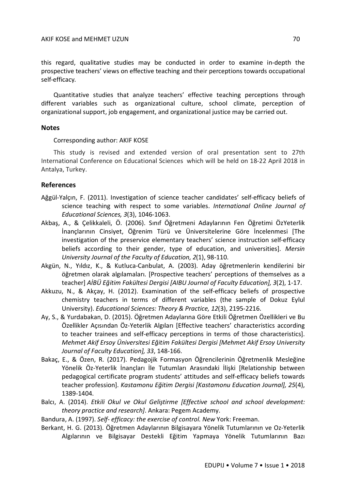this regard, qualitative studies may be conducted in order to examine in-depth the prospective teachers' views on effective teaching and their perceptions towards occupational self-efficacy.

Quantitative studies that analyze teachers' effective teaching perceptions through different variables such as organizational culture, school climate, perception of organizational support, job engagement, and organizational justice may be carried out.

## **Notes**

Corresponding author: AKIF KOSE

This study is revised and extended version of oral presentation sent to 27th International Conference on Educational Sciences which will be held on 18-22 April 2018 in Antalya, Turkey.

## **References**

- Ağgül-Yalçın, F. (2011). Investigation of science teacher candidates' self-efficacy beliefs of science teaching with respect to some variables. *International Online Journal of Educational Sciences, 3*(3), 1046-1063.
- Akbaş, A., & Çelikkaleli, Ö. (2006). Sınıf Öğretmeni Adaylarının Fen Öğretimi ÖzYeterlik İnançlarının Cinsiyet, Öğrenim Türü ve Üniversitelerine Göre İncelenmesi [The investigation of the preservice elementary teachers' science instruction self-efficacy beliefs according to their gender, type of education, and universities]. *Mersin University Journal of the Faculty of Education, 2*(1), 98-110.
- Akgün, N., Yıldız, K., & Kutluca-Canbulat, A. (2003). Aday öğretmenlerin kendilerini bir öğretmen olarak algılamaları. [Prospective teachers' perceptions of themselves as a teacher] *AİBÜ Eğitim Fakültesi Dergisi [AIBU Journal of Faculty Education], 3*(2), 1-17.
- Akkuzu, N., & Akçay, H. (2012). Examination of the self-efficacy beliefs of prospective chemistry teachers in terms of different variables (the sample of Dokuz Eylul University). *Educational Sciences: Theory & Practice, 12*(3), 2195-2216.
- Ay, S., & Yurdabakan, D. (2015). Öğretmen Adaylarına Göre Etkili Öğretmen Özellikleri ve Bu Özellikler Açısından Öz-Yeterlik Algıları [Effective teachers' characteristics according to teacher trainees and self-efficacy perceptions in terms of those characteristics]. *Mehmet Akif Ersoy Üniversitesi Eğitim Fakültesi Dergisi [Mehmet Akif Ersoy University Journal of Faculty Education], 33*, 148-166.
- Bakaç, E., & Özen, R. (2017). Pedagojik Formasyon Öğrencilerinin Öğretmenlik Mesleğine Yönelik Öz-Yeterlik İnançları İle Tutumları Arasındaki İlişki [Relationship between pedagogical certificate program students' attitudes and self-efficacy beliefs towards teacher profession]. *Kastamonu Eğitim Dergisi [Kastamonu Education Journal], 25*(4), 1389-1404.
- Balcı, A. (2014). *Etkili Okul ve Okul Geliştirme [Effective school and school development: theory practice and research]*. Ankara: Pegem Academy.

Bandura, A. (1997). *Self- efficacy: the exercise of control. New* York: Freeman.

Berkant, H. G. (2013). Öğretmen Adaylarının Bilgisayara Yönelik Tutumlarının ve Oz-Yeterlik Algılarının ve Bilgisayar Destekli Eğitim Yapmaya Yönelik Tutumlarının Bazı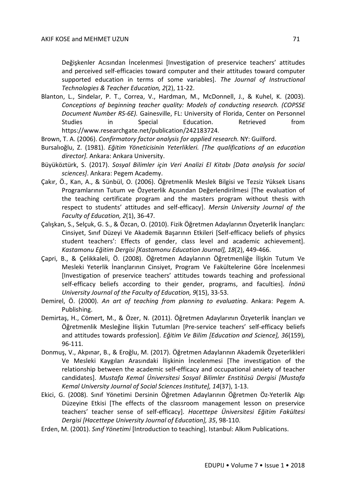Değişkenler Acısından İncelenmesi [Investigation of preservice teachers' attitudes and perceived self-efficacies toward computer and their attitudes toward computer supported education in terms of some variables]. *The Journal of Instructional Technologies & Teacher Education, 2*(2), 11-22.

- Blanton, L., Sindelar, P. T., Correa, V., Hardman, M., McDonnell, J., & Kuhel, K. (2003). *Conceptions of beginning teacher quality: Models of conducting research. (COPSSE Document Number RS-6E).* Gainesville, FL: University of Florida, Center on Personnel Studies in Special Education. Retrieved from https://www.researchgate.net/publication/242183724.
- Brown, T. A. (2006). *Confirmatory factor analysis for applied research.* NY: Guilford.
- Bursalıoğlu, Z. (1981). *Eğitim Yöneticisinin Yeterlikleri. [The qualifications of an education director].* Ankara: Ankara University.
- Büyüköztürk, S. (2017). *Sosyal Bilimler için Veri Analizi El Kitabı [Data analysis for social sciences]*. Ankara: Pegem Academy.
- Çakır, Ö., Kan, A., & Sünbül, O. (2006). Öğretmenlik Meslek Bilgisi ve Tezsiz Yüksek Lisans Programlarının Tutum ve Özyeterlik Açısından Değerlendirilmesi [The evaluation of the teaching certificate program and the masters program without thesis with respect to students' attitudes and self-efficacy]. *Mersin University Journal of the Faculty of Education, 2*(1), 36-47.
- Çalışkan, S., Selçuk, G. S., & Özcan, O. (2010). Fizik Öğretmen Adaylarının Özyeterlik İnançları: Cinsiyet, Sınıf Düzeyi Ve Akademik Başarının Etkileri [Self-efficacy beliefs of physics student teachers': Effects of gender, class level and academic achievement]. *Kastamonu Eğitim Dergisi [Kastamonu Education Journal], 18*(2), 449-466.
- Çapri, B., & Çelikkaleli, Ö. (2008). Öğretmen Adaylarının Öğretmenliğe İlişkin Tutum Ve Mesleki Yeterlik İnançlarının Cinsiyet, Program Ve Fakültelerine Göre İncelenmesi [Investigation of preservice teachers' attitudes towards teaching and professional self-efficacy beliefs according to their gender, programs, and faculties]. *İnönü University Journal of the Faculty of Education, 9*(15), 33-53.
- Demirel, Ö. (2000). *An art of teaching from planning to evaluating*. Ankara: Pegem A. Publishing.
- Demirtaş, H., Cömert, M., & Özer, N. (2011). Öğretmen Adaylarının Özyeterlik İnançları ve Öğretmenlik Mesleğine İlişkin Tutumları [Pre-service teachers' self-efficacy beliefs and attitudes towards profession]. *Eğitim Ve Bilim [Education and Science], 36*(159), 96-111.
- Donmuş, V., Akpınar, B., & Eroğlu, M. (2017). Öğretmen Adaylarının Akademik Özyeterlikleri Ve Mesleki Kaygıları Arasındaki İlişkinin İncelenmesi [The investigation of the relationship between the academic self-efficacy and occupational anxiety of teacher candidates]. *Mustafa Kemal Üniversitesi Sosyal Bilimler Enstitüsü Dergisi [Mustafa Kemal University Journal of Social Sciences Institute], 14*(37), 1-13.
- Ekici, G. (2008). Sınıf Yönetimi Dersinin Öğretmen Adaylarının Öğretmen Öz-Yeterlik Algı Düzeyine Etkisi [The effects of the classroom management lesson on preservice teachers' teacher sense of self-efficacy]. *Hacettepe Üniversitesi Eğitim Fakültesi Dergisi [Hacettepe University Journal of Education], 35*, 98-110.
- Erden, M. (2001). *Sınıf Yönetimi* [Introduction to teaching]. Istanbul: Alkım Publications.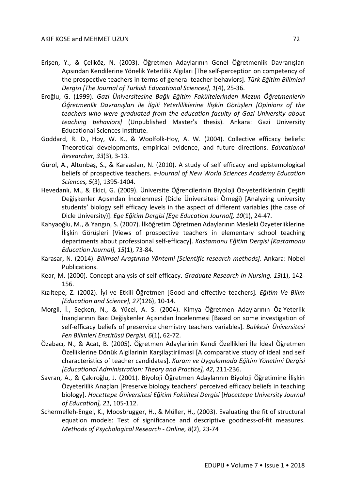- Erişen, Y., & Çeliköz, N. (2003). Öğretmen Adaylarının Genel Öğretmenlik Davranışları Açısından Kendilerine Yönelik Yeterlilik Algıları [The self-perception on competency of the prospective teachers in terms of general teacher behaviors]. *Türk Eğitim Bilimleri Dergisi [The Journal of Turkish Educational Sciences], 1*(4), 25-36.
- Eroğlu, G. (1999). *Gazi Üniversitesine Bağlı Eğitim Fakültelerinden Mezun Öğretmenlerin Öğretmenlik Davranışları ile İlgili Yeterliliklerine İlişkin Görüşleri [Opinions of the teachers who were graduated from the education faculty of Gazi University about teaching behaviors]* (Unpublished Master's thesis). Ankara: Gazi University Educational Sciences Institute.
- Goddard, R. D., Hoy, W. K., & Woolfolk-Hoy, A. W. (2004). Collective efficacy beliefs: Theoretical developments, empirical evidence, and future directions. *Educational Researcher, 33*(3), 3-13.
- Gürol, A., Altunbaş, S., & Karaaslan, N. (2010). A study of self efficacy and epistemological beliefs of prospective teachers. *e-Journal of New World Sciences Academy Education Sciences, 5*(3), 1395-1404.
- Hevedanlı, M., & Ekici, G. (2009). Üniversite Öğrencilerinin Biyoloji Öz-yeterliklerinin Çeşitli Değişkenler Açısından İncelenmesi (Dicle Üniversitesi Örneği) [Analyzing university students' biology self efficacy levels in the aspect of different variables (the case of Dicle University)]. *Ege Eğitim Dergisi [Ege Education Journal], 10*(1), 24-47.
- Kahyaoğlu, M., & Yangın, S. (2007). İlköğretim Öğretmen Adaylarının Mesleki Özyeterliklerine İlişkin Görüşleri [Views of prospective teachers in elementary school teaching departments about professional self-efficacy]. *Kastamonu Eğitim Dergisi [Kastamonu Education Journal], 15*(1), 73-84.
- Karasar, N. (2014). *Bilimsel Araştırma Yöntemi [Scientific research methods]*. Ankara: Nobel Publications.
- Kear, M. (2000). Concept analysis of self-efficacy. *Graduate Research In Nursing, 13*(1), 142- 156.
- Kızıltepe, Z. (2002). İyi ve Etkili Öğretmen [Good and effective teachers]*. Eğitim Ve Bilim [Education and Science], 27*(126), 10-14.
- Morgil, İ., Seçken, N., & Yücel, A. S. (2004). Kimya Öğretmen Adaylarının Öz-Yeterlik İnançlarının Bazı Değişkenler Açısından İncelenmesi [Based on some investigation of self-efficacy beliefs of preservice chemistry teachers variables]. *Balıkesir Üniversitesi Fen Bilimleri Enstitüsü Dergisi, 6*(1), 62-72.
- Özabacı, N., & Acat, B. (2005). Öğretmen Adaylarinin Kendi Özellikleri İle İdeal Öğretmen Özelliklerine Dönük Algilarinin Karşilaştirilmasi [A comparative study of ideal and self characteristics of teacher candidates]. *Kuram ve Uygulamada Eğitim Yönetimi Dergisi [Educational Administration: Theory and Practice], 42*, 211-236.
- Savran, A., & Çakıroğlu, J. (2001). Biyoloji Öğretmen Adaylarının Biyoloji Öğretimine İlişkin Özyeterlilik Anaçları [Preserve biology teachers' perceived efficacy beliefs in teaching biology]. *Hacettepe Üniversitesi Eğitim Fakültesi Dergisi* [*Hacettepe University Journal of Education], 21*, 105-112.
- Schermelleh-Engel, K., Moosbrugger, H., & Müller, H., (2003). Evaluating the fit of structural equation models: Test of significance and descriptive goodness-of-fit measures. *Methods of Psychological Research - Online, 8*(2), 23-74